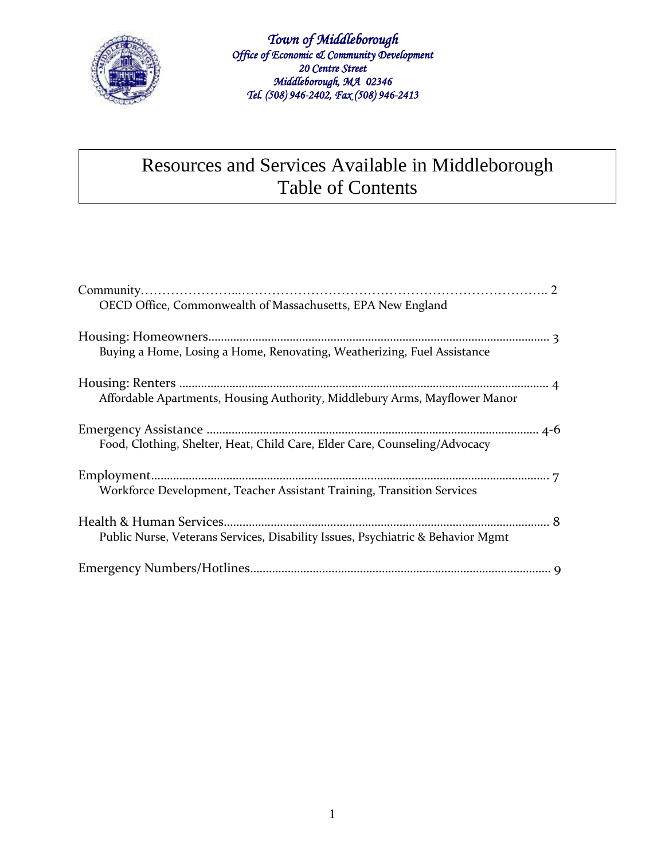

*Town of Middleborough Office of Economic & Community Development 20 Centre Street Middleborough, MA 02346 Tel. (508) 946-2402, Fax (508) 946-2413* 

#### Resources and Services Available in Middleborough Table of Contents

| OECD Office, Commonwealth of Massachusetts, EPA New England                     |
|---------------------------------------------------------------------------------|
| Buying a Home, Losing a Home, Renovating, Weatherizing, Fuel Assistance         |
| Affordable Apartments, Housing Authority, Middlebury Arms, Mayflower Manor      |
| Food, Clothing, Shelter, Heat, Child Care, Elder Care, Counseling/Advocacy      |
| Workforce Development, Teacher Assistant Training, Transition Services          |
| Public Nurse, Veterans Services, Disability Issues, Psychiatric & Behavior Mgmt |
|                                                                                 |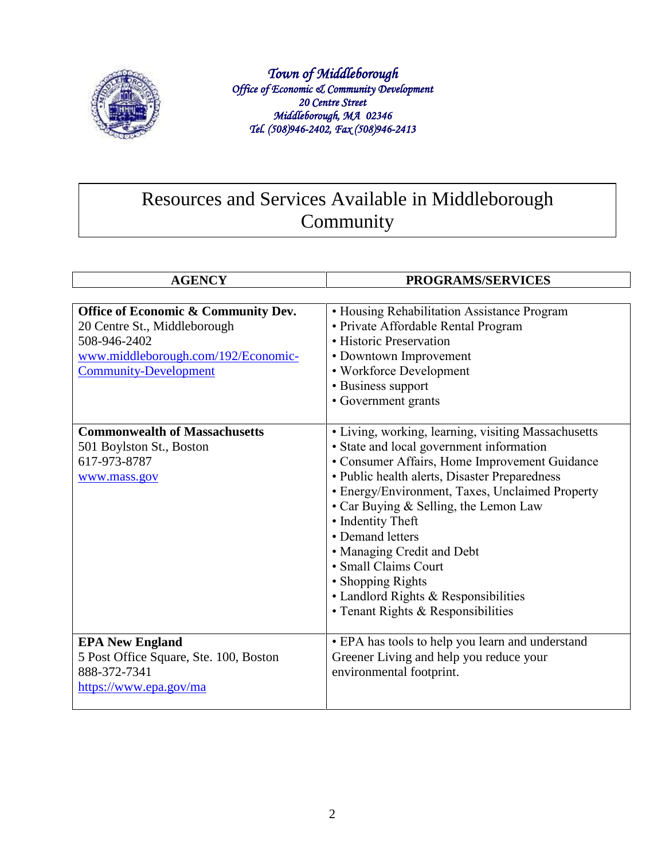

*Town of Middleborough Office of Economic & Community Development 20 Centre Street Middleborough, MA 02346 Tel. (508)946-2402, Fax (508)946-2413* 

# Resources and Services Available in Middleborough Community

| <b>AGENCY</b>                                                                                                                                              | <b>PROGRAMS/SERVICES</b>                                                                                                                                                                                                                                                                                                                                                                                                                                                                        |
|------------------------------------------------------------------------------------------------------------------------------------------------------------|-------------------------------------------------------------------------------------------------------------------------------------------------------------------------------------------------------------------------------------------------------------------------------------------------------------------------------------------------------------------------------------------------------------------------------------------------------------------------------------------------|
| Office of Economic & Community Dev.<br>20 Centre St., Middleborough<br>508-946-2402<br>www.middleborough.com/192/Economic-<br><b>Community-Development</b> | • Housing Rehabilitation Assistance Program<br>• Private Affordable Rental Program<br>• Historic Preservation<br>• Downtown Improvement<br>• Workforce Development<br>• Business support<br>• Government grants                                                                                                                                                                                                                                                                                 |
| <b>Commonwealth of Massachusetts</b><br>501 Boylston St., Boston<br>617-973-8787<br>www.mass.gov                                                           | · Living, working, learning, visiting Massachusetts<br>· State and local government information<br>• Consumer Affairs, Home Improvement Guidance<br>• Public health alerts, Disaster Preparedness<br>• Energy/Environment, Taxes, Unclaimed Property<br>• Car Buying & Selling, the Lemon Law<br>• Indentity Theft<br>• Demand letters<br>· Managing Credit and Debt<br>• Small Claims Court<br>• Shopping Rights<br>• Landlord Rights & Responsibilities<br>• Tenant Rights & Responsibilities |
| <b>EPA New England</b><br>5 Post Office Square, Ste. 100, Boston<br>888-372-7341<br>https://www.epa.gov/ma                                                 | • EPA has tools to help you learn and understand<br>Greener Living and help you reduce your<br>environmental footprint.                                                                                                                                                                                                                                                                                                                                                                         |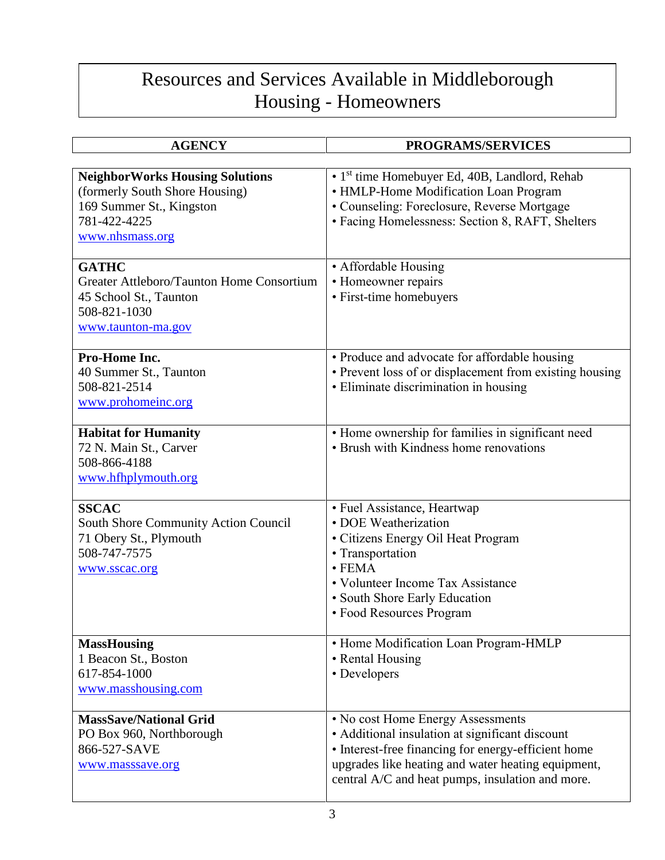# Resources and Services Available in Middleborough Housing - Homeowners

| <b>AGENCY</b>                                                                                                                           | PROGRAMS/SERVICES                                                                                                                                                                                     |
|-----------------------------------------------------------------------------------------------------------------------------------------|-------------------------------------------------------------------------------------------------------------------------------------------------------------------------------------------------------|
|                                                                                                                                         |                                                                                                                                                                                                       |
| <b>NeighborWorks Housing Solutions</b><br>(formerly South Shore Housing)<br>169 Summer St., Kingston<br>781-422-4225<br>www.nhsmass.org | • 1 <sup>st</sup> time Homebuyer Ed, 40B, Landlord, Rehab<br>• HMLP-Home Modification Loan Program<br>• Counseling: Foreclosure, Reverse Mortgage<br>• Facing Homelessness: Section 8, RAFT, Shelters |
| <b>GATHC</b>                                                                                                                            | • Affordable Housing                                                                                                                                                                                  |
| Greater Attleboro/Taunton Home Consortium                                                                                               | • Homeowner repairs                                                                                                                                                                                   |
| 45 School St., Taunton                                                                                                                  | • First-time homebuyers                                                                                                                                                                               |
| 508-821-1030<br>www.taunton-ma.gov                                                                                                      |                                                                                                                                                                                                       |
| Pro-Home Inc.                                                                                                                           | • Produce and advocate for affordable housing                                                                                                                                                         |
| 40 Summer St., Taunton                                                                                                                  | • Prevent loss of or displacement from existing housing                                                                                                                                               |
| 508-821-2514                                                                                                                            | • Eliminate discrimination in housing                                                                                                                                                                 |
| www.prohomeinc.org                                                                                                                      |                                                                                                                                                                                                       |
| <b>Habitat for Humanity</b>                                                                                                             | • Home ownership for families in significant need                                                                                                                                                     |
| 72 N. Main St., Carver                                                                                                                  | • Brush with Kindness home renovations                                                                                                                                                                |
| 508-866-4188                                                                                                                            |                                                                                                                                                                                                       |
| www.hfhplymouth.org                                                                                                                     |                                                                                                                                                                                                       |
| <b>SSCAC</b>                                                                                                                            | • Fuel Assistance, Heartwap                                                                                                                                                                           |
| South Shore Community Action Council                                                                                                    | • DOE Weatherization                                                                                                                                                                                  |
| 71 Obery St., Plymouth                                                                                                                  | • Citizens Energy Oil Heat Program                                                                                                                                                                    |
| 508-747-7575                                                                                                                            | • Transportation                                                                                                                                                                                      |
| www.sscac.org                                                                                                                           | $\cdot$ FEMA<br>• Volunteer Income Tax Assistance                                                                                                                                                     |
|                                                                                                                                         | • South Shore Early Education                                                                                                                                                                         |
|                                                                                                                                         | • Food Resources Program                                                                                                                                                                              |
|                                                                                                                                         |                                                                                                                                                                                                       |
| <b>MassHousing</b>                                                                                                                      | • Home Modification Loan Program-HMLP                                                                                                                                                                 |
| 1 Beacon St., Boston<br>617-854-1000                                                                                                    | • Rental Housing<br>• Developers                                                                                                                                                                      |
| www.masshousing.com                                                                                                                     |                                                                                                                                                                                                       |
|                                                                                                                                         |                                                                                                                                                                                                       |
| <b>MassSave/National Grid</b>                                                                                                           | • No cost Home Energy Assessments                                                                                                                                                                     |
| PO Box 960, Northborough                                                                                                                | • Additional insulation at significant discount                                                                                                                                                       |
| 866-527-SAVE<br>www.masssave.org                                                                                                        | • Interest-free financing for energy-efficient home<br>upgrades like heating and water heating equipment,                                                                                             |
|                                                                                                                                         | central A/C and heat pumps, insulation and more.                                                                                                                                                      |
|                                                                                                                                         |                                                                                                                                                                                                       |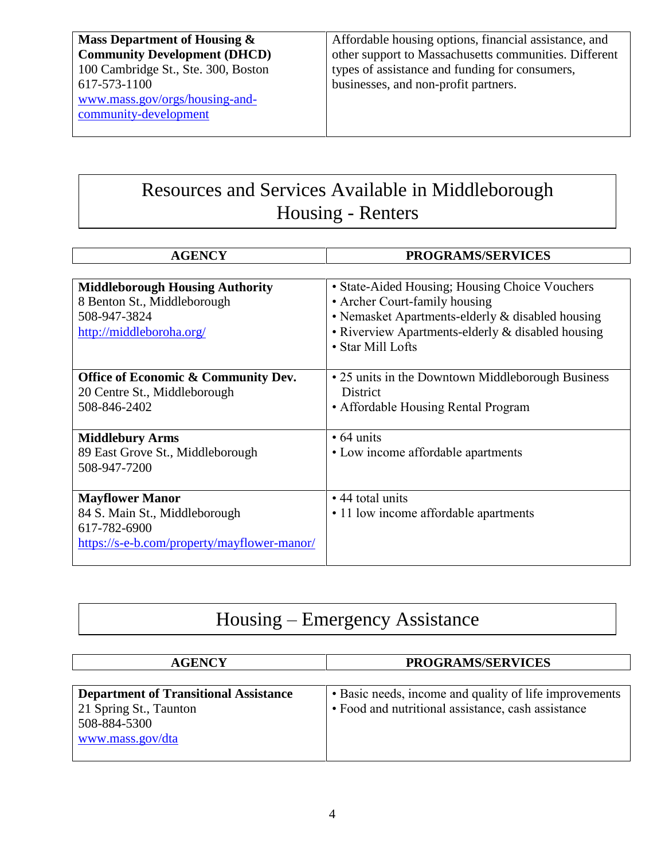**Mass Department of Housing & Community Development (DHCD)** 100 Cambridge St., Ste. 300, Boston 617-573-1100 [www.mass.gov/orgs/housing-and](http://www.mass.gov/orgs/housing-and-community-development)[community-development](http://www.mass.gov/orgs/housing-and-community-development)

Affordable housing options, financial assistance, and other support to Massachusetts communities. Different types of assistance and funding for consumers, businesses, and non-profit partners.

# Resources and Services Available in Middleborough Housing - Renters

| <b>AGENCY</b>                                  | <b>PROGRAMS/SERVICES</b>                          |
|------------------------------------------------|---------------------------------------------------|
|                                                |                                                   |
| <b>Middleborough Housing Authority</b>         | • State-Aided Housing; Housing Choice Vouchers    |
| 8 Benton St., Middleborough                    | • Archer Court-family housing                     |
| 508-947-3824                                   | • Nemasket Apartments-elderly & disabled housing  |
| http://middleboroha.org/                       | • Riverview Apartments-elderly & disabled housing |
|                                                | • Star Mill Lofts                                 |
|                                                |                                                   |
| <b>Office of Economic &amp; Community Dev.</b> | • 25 units in the Downtown Middleborough Business |
| 20 Centre St., Middleborough                   | <b>District</b>                                   |
| 508-846-2402                                   | • Affordable Housing Rental Program               |
|                                                |                                                   |
| <b>Middlebury Arms</b>                         | $\cdot$ 64 units                                  |
| 89 East Grove St., Middleborough               | • Low income affordable apartments                |
| 508-947-7200                                   |                                                   |
|                                                |                                                   |
| <b>Mayflower Manor</b>                         | $\cdot$ 44 total units                            |
| 84 S. Main St., Middleborough                  | • 11 low income affordable apartments             |
| 617-782-6900                                   |                                                   |
| https://s-e-b.com/property/mayflower-manor/    |                                                   |
|                                                |                                                   |

# Housing – Emergency Assistance

| <b>AGENCY</b>                                | <b>PROGRAMS/SERVICES</b>                               |
|----------------------------------------------|--------------------------------------------------------|
|                                              |                                                        |
| <b>Department of Transitional Assistance</b> | • Basic needs, income and quality of life improvements |
| 21 Spring St., Taunton                       | • Food and nutritional assistance, cash assistance     |
| 508-884-5300                                 |                                                        |
| www.mass.gov/dta                             |                                                        |
|                                              |                                                        |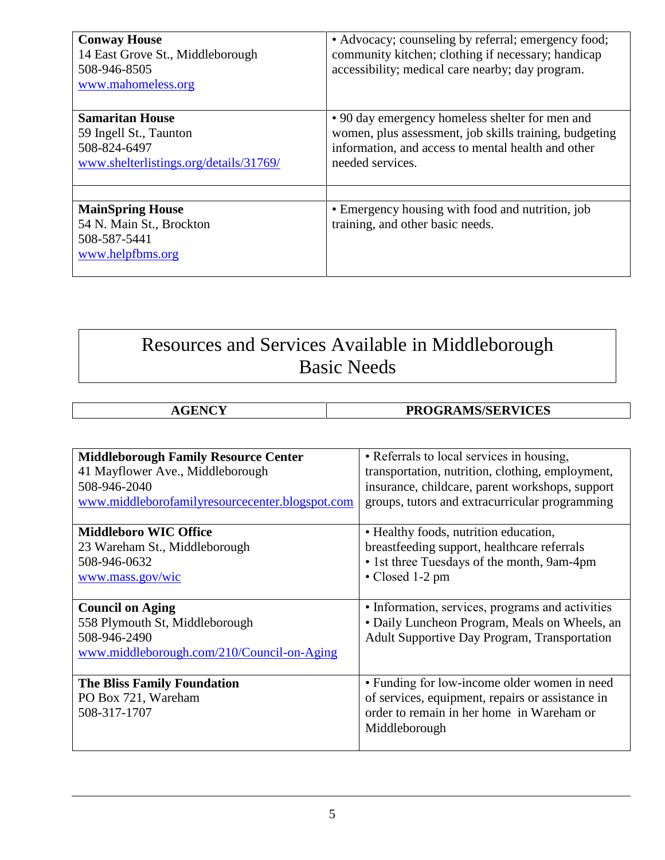| <b>Conway House</b><br>14 East Grove St., Middleborough<br>508-946-8505<br>www.mahomeless.org              | • Advocacy; counseling by referral; emergency food;<br>community kitchen; clothing if necessary; handicap<br>accessibility; medical care nearby; day program.                       |
|------------------------------------------------------------------------------------------------------------|-------------------------------------------------------------------------------------------------------------------------------------------------------------------------------------|
| <b>Samaritan House</b><br>59 Ingell St., Taunton<br>508-824-6497<br>www.shelterlistings.org/details/31769/ | • 90 day emergency homeless shelter for men and<br>women, plus assessment, job skills training, budgeting<br>information, and access to mental health and other<br>needed services. |
| <b>MainSpring House</b><br>54 N. Main St., Brockton<br>508-587-5441<br>www.helpfbms.org                    | • Emergency housing with food and nutrition, job<br>training, and other basic needs.                                                                                                |

# Resources and Services Available in Middleborough Basic Needs

| NIZ | PROGRAMS/SERVICES |
|-----|-------------------|
|     |                   |

| <b>Middleborough Family Resource Center</b>     | • Referrals to local services in housing,           |
|-------------------------------------------------|-----------------------------------------------------|
| 41 Mayflower Ave., Middleborough                | transportation, nutrition, clothing, employment,    |
| 508-946-2040                                    | insurance, childcare, parent workshops, support     |
| www.middleborofamilyresourcecenter.blogspot.com | groups, tutors and extracurricular programming      |
|                                                 |                                                     |
| <b>Middleboro WIC Office</b>                    | • Healthy foods, nutrition education,               |
| 23 Wareham St., Middleborough                   | breastfeeding support, healthcare referrals         |
| 508-946-0632                                    | • 1st three Tuesdays of the month, 9am-4pm          |
| www.mass.gov/wic                                | • Closed 1-2 pm                                     |
|                                                 |                                                     |
| <b>Council on Aging</b>                         | · Information, services, programs and activities    |
| 558 Plymouth St, Middleborough                  | • Daily Luncheon Program, Meals on Wheels, an       |
| 508-946-2490                                    | <b>Adult Supportive Day Program, Transportation</b> |
| www.middleborough.com/210/Council-on-Aging      |                                                     |
|                                                 |                                                     |
| <b>The Bliss Family Foundation</b>              | • Funding for low-income older women in need        |
| PO Box 721, Wareham                             | of services, equipment, repairs or assistance in    |
| 508-317-1707                                    | order to remain in her home in Wareham or           |
|                                                 | Middleborough                                       |
|                                                 |                                                     |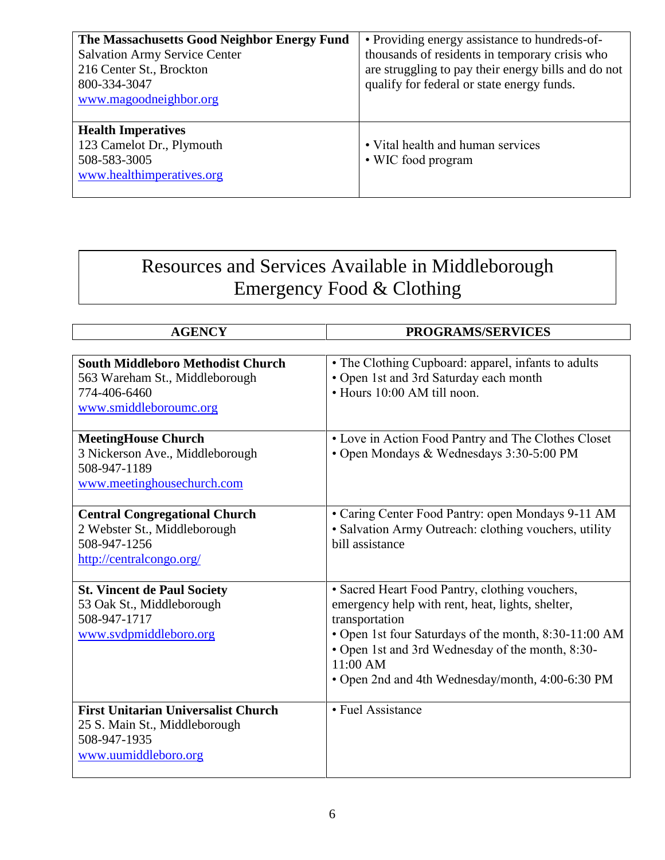| The Massachusetts Good Neighbor Energy Fund<br><b>Salvation Army Service Center</b><br>216 Center St., Brockton<br>800-334-3047<br>www.magoodneighbor.org | • Providing energy assistance to hundreds-of-<br>thousands of residents in temporary crisis who<br>are struggling to pay their energy bills and do not<br>qualify for federal or state energy funds. |
|-----------------------------------------------------------------------------------------------------------------------------------------------------------|------------------------------------------------------------------------------------------------------------------------------------------------------------------------------------------------------|
| <b>Health Imperatives</b><br>123 Camelot Dr., Plymouth<br>508-583-3005<br>www.healthimperatives.org                                                       | • Vital health and human services<br>• WIC food program                                                                                                                                              |

# Resources and Services Available in Middleborough Emergency Food & Clothing

| <b>AGENCY</b>                                                                                                        | PROGRAMS/SERVICES                                                                                                                                                                                                                                                                                 |
|----------------------------------------------------------------------------------------------------------------------|---------------------------------------------------------------------------------------------------------------------------------------------------------------------------------------------------------------------------------------------------------------------------------------------------|
|                                                                                                                      |                                                                                                                                                                                                                                                                                                   |
| <b>South Middleboro Methodist Church</b><br>563 Wareham St., Middleborough<br>774-406-6460<br>www.smiddleboroumc.org | • The Clothing Cupboard: apparel, infants to adults<br>• Open 1st and 3rd Saturday each month<br>• Hours 10:00 AM till noon.                                                                                                                                                                      |
| <b>MeetingHouse Church</b><br>3 Nickerson Ave., Middleborough<br>508-947-1189<br>www.meetinghousechurch.com          | • Love in Action Food Pantry and The Clothes Closet<br>• Open Mondays & Wednesdays 3:30-5:00 PM                                                                                                                                                                                                   |
| <b>Central Congregational Church</b><br>2 Webster St., Middleborough<br>508-947-1256<br>http://centralcongo.org/     | • Caring Center Food Pantry: open Mondays 9-11 AM<br>• Salvation Army Outreach: clothing vouchers, utility<br>bill assistance                                                                                                                                                                     |
| <b>St. Vincent de Paul Society</b><br>53 Oak St., Middleborough<br>508-947-1717<br>www.svdpmiddleboro.org            | • Sacred Heart Food Pantry, clothing vouchers,<br>emergency help with rent, heat, lights, shelter,<br>transportation<br>• Open 1st four Saturdays of the month, 8:30-11:00 AM<br>• Open 1st and 3rd Wednesday of the month, 8:30-<br>11:00 AM<br>• Open 2nd and 4th Wednesday/month, 4:00-6:30 PM |
| <b>First Unitarian Universalist Church</b><br>25 S. Main St., Middleborough<br>508-947-1935<br>www.uumiddleboro.org  | • Fuel Assistance                                                                                                                                                                                                                                                                                 |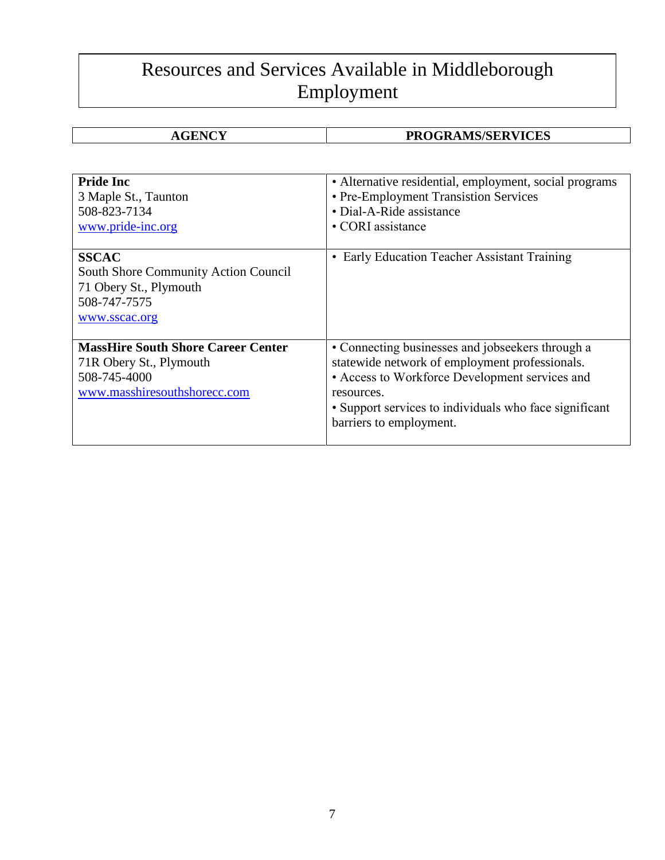# Resources and Services Available in Middleborough Employment

#### **AGENCY PROGRAMS/SERVICES**

| <b>Pride Inc</b><br>3 Maple St., Taunton<br>508-823-7134<br>www.pride-inc.org                                        | • Alternative residential, employment, social programs<br>• Pre-Employment Transistion Services<br>• Dial-A-Ride assistance<br>• CORI assistance                                                                                                        |
|----------------------------------------------------------------------------------------------------------------------|---------------------------------------------------------------------------------------------------------------------------------------------------------------------------------------------------------------------------------------------------------|
| <b>SSCAC</b><br>South Shore Community Action Council<br>71 Obery St., Plymouth<br>508-747-7575<br>www.sscac.org      | • Early Education Teacher Assistant Training                                                                                                                                                                                                            |
| <b>MassHire South Shore Career Center</b><br>71R Obery St., Plymouth<br>508-745-4000<br>www.masshiresouthshorecc.com | • Connecting businesses and jobseekers through a<br>statewide network of employment professionals.<br>• Access to Workforce Development services and<br>resources.<br>• Support services to individuals who face significant<br>barriers to employment. |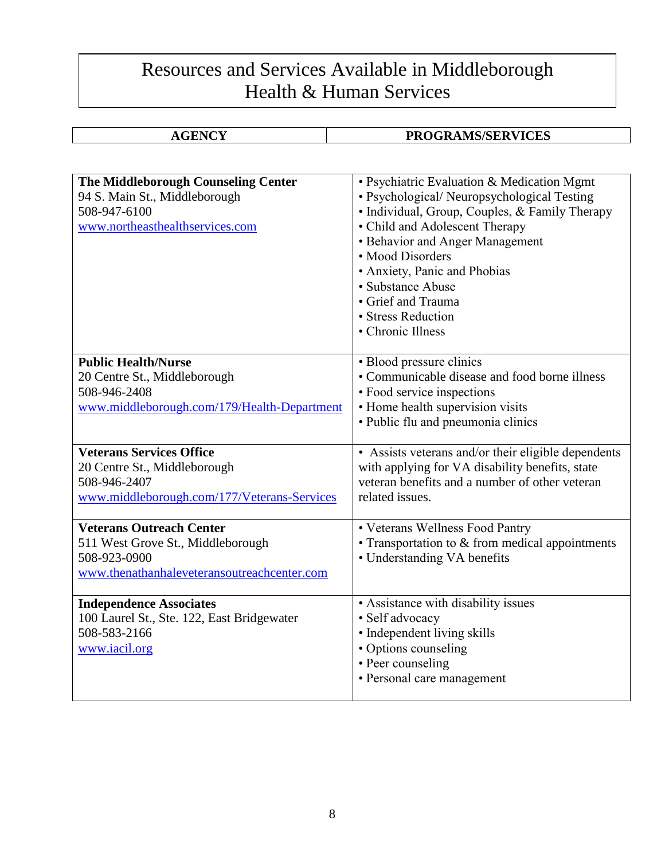#### Resources and Services Available in Middleborough Health & Human Services

#### **PROGRAMS/SERVICES**

| The Middleborough Counseling Center<br>94 S. Main St., Middleborough<br>508-947-6100<br>www.northeasthealthservices.com             | • Psychiatric Evaluation & Medication Mgmt<br>• Psychological/ Neuropsychological Testing<br>• Individual, Group, Couples, & Family Therapy<br>• Child and Adolescent Therapy<br>• Behavior and Anger Management<br>• Mood Disorders<br>• Anxiety, Panic and Phobias<br>• Substance Abuse<br>• Grief and Trauma<br>• Stress Reduction<br>• Chronic Illness |
|-------------------------------------------------------------------------------------------------------------------------------------|------------------------------------------------------------------------------------------------------------------------------------------------------------------------------------------------------------------------------------------------------------------------------------------------------------------------------------------------------------|
| <b>Public Health/Nurse</b><br>20 Centre St., Middleborough<br>508-946-2408<br>www.middleborough.com/179/Health-Department           | • Blood pressure clinics<br>• Communicable disease and food borne illness<br>• Food service inspections<br>• Home health supervision visits<br>• Public flu and pneumonia clinics                                                                                                                                                                          |
| <b>Veterans Services Office</b><br>20 Centre St., Middleborough<br>508-946-2407<br>www.middleborough.com/177/Veterans-Services      | • Assists veterans and/or their eligible dependents<br>with applying for VA disability benefits, state<br>veteran benefits and a number of other veteran<br>related issues.                                                                                                                                                                                |
| <b>Veterans Outreach Center</b><br>511 West Grove St., Middleborough<br>508-923-0900<br>www.thenathanhaleveteransoutreachcenter.com | • Veterans Wellness Food Pantry<br>$\bullet$ Transportation to $\&$ from medical appointments<br>• Understanding VA benefits                                                                                                                                                                                                                               |
| <b>Independence Associates</b><br>100 Laurel St., Ste. 122, East Bridgewater<br>508-583-2166<br>www.iacil.org                       | • Assistance with disability issues<br>• Self advocacy<br>• Independent living skills<br>• Options counseling<br>• Peer counseling<br>• Personal care management                                                                                                                                                                                           |